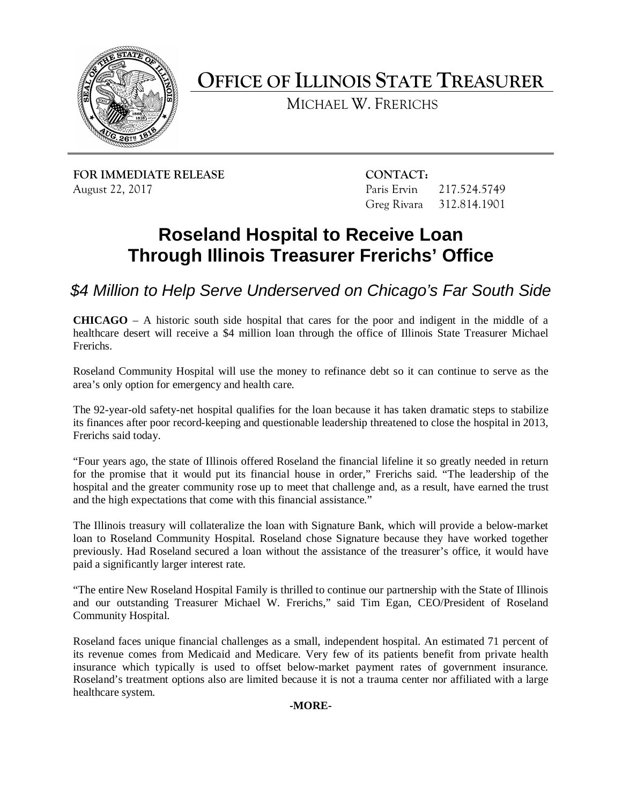

**OFFICE OF ILLINOIS STATE TREASURER** 

MICHAEL W. FRERICHS

**FOR IMMEDIATE RELEASE CONTACT:** August 22, 2017 Paris Ervin 217.524.5749

Greg Rivara 312.814.1901

## **Roseland Hospital to Receive Loan Through Illinois Treasurer Frerichs' Office**

 *\$4 Million to Help Serve Underserved on Chicago's Far South Side* 

 **CHICAGO** – A historic south side hospital that cares for the poor and indigent in the middle of a healthcare desert will receive a \$4 million loan through the office of Illinois State Treasurer Michael Frerichs.

 Roseland Community Hospital will use the money to refinance debt so it can continue to serve as the area's only option for emergency and health care.

 The 92-year-old safety-net hospital qualifies for the loan because it has taken dramatic steps to stabilize its finances after poor record-keeping and questionable leadership threatened to close the hospital in 2013, Frerichs said today.

 "Four years ago, the state of Illinois offered Roseland the financial lifeline it so greatly needed in return for the promise that it would put its financial house in order," Frerichs said. "The leadership of the hospital and the greater community rose up to meet that challenge and, as a result, have earned the trust and the high expectations that come with this financial assistance."

 previously. Had Roseland secured a loan without the assistance of the treasurer's office, it would have The Illinois treasury will collateralize the loan with Signature Bank, which will provide a below-market loan to Roseland Community Hospital. Roseland chose Signature because they have worked together paid a significantly larger interest rate.

"The entire New Roseland Hospital Family is thrilled to continue our partnership with the State of Illinois and our outstanding Treasurer Michael W. Frerichs," said Tim Egan, CEO/President of Roseland Community Hospital.

 its revenue comes from Medicaid and Medicare. Very few of its patients benefit from private health insurance which typically is used to offset below-market payment rates of government insurance. Roseland's treatment options also are limited because it is not a trauma center nor affiliated with a large Roseland faces unique financial challenges as a small, independent hospital. An estimated 71 percent of healthcare system.

## **-MORE-**